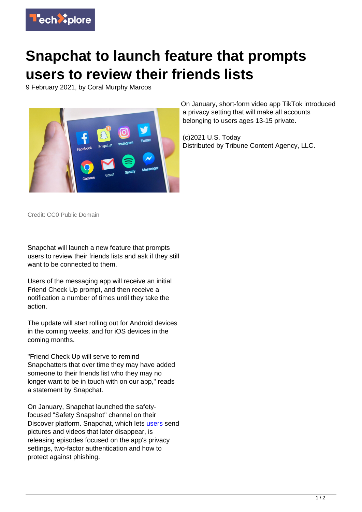

## **Snapchat to launch feature that prompts users to review their friends lists**

9 February 2021, by Coral Murphy Marcos



On January, short-form video app TikTok introduced a privacy setting that will make all accounts belonging to users ages 13-15 private.

(c)2021 U.S. Today Distributed by Tribune Content Agency, LLC.

Credit: CC0 Public Domain

Snapchat will launch a new feature that prompts users to review their friends lists and ask if they still want to be connected to them.

Users of the messaging app will receive an initial Friend Check Up prompt, and then receive a notification a number of times until they take the action.

The update will start rolling out for Android devices in the coming weeks, and for iOS devices in the coming months.

"Friend Check Up will serve to remind Snapchatters that over time they may have added someone to their friends list who they may no longer want to be in touch with on our app," reads a statement by Snapchat.

On January, Snapchat launched the safetyfocused "Safety Snapshot" channel on their Discover platform. Snapchat, which lets [users](https://techxplore.com/tags/users/) send pictures and videos that later disappear, is releasing episodes focused on the app's privacy settings, two-factor authentication and how to protect against phishing.